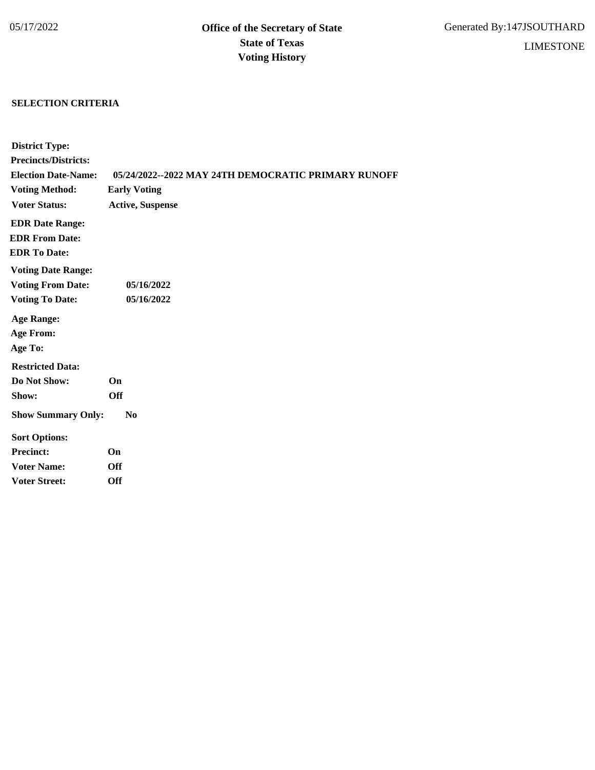## **SELECTION CRITERIA**

| <b>District Type:</b>       |                                                     |
|-----------------------------|-----------------------------------------------------|
| <b>Precincts/Districts:</b> |                                                     |
| <b>Election Date-Name:</b>  | 05/24/2022--2022 MAY 24TH DEMOCRATIC PRIMARY RUNOFF |
| <b>Voting Method:</b>       | <b>Early Voting</b>                                 |
| <b>Voter Status:</b>        | <b>Active, Suspense</b>                             |
| <b>EDR Date Range:</b>      |                                                     |
| <b>EDR From Date:</b>       |                                                     |
| <b>EDR To Date:</b>         |                                                     |
| <b>Voting Date Range:</b>   |                                                     |
| <b>Voting From Date:</b>    | 05/16/2022                                          |
| <b>Voting To Date:</b>      | 05/16/2022                                          |
| <b>Age Range:</b>           |                                                     |
| <b>Age From:</b>            |                                                     |
| Age To:                     |                                                     |
| <b>Restricted Data:</b>     |                                                     |
| Do Not Show:                | On                                                  |
| Show:                       | <b>Off</b>                                          |
| <b>Show Summary Only:</b>   | N <sub>0</sub>                                      |
| <b>Sort Options:</b>        |                                                     |
| <b>Precinct:</b>            | On                                                  |
| <b>Voter Name:</b>          | <b>Off</b>                                          |
| <b>Voter Street:</b>        | <b>Off</b>                                          |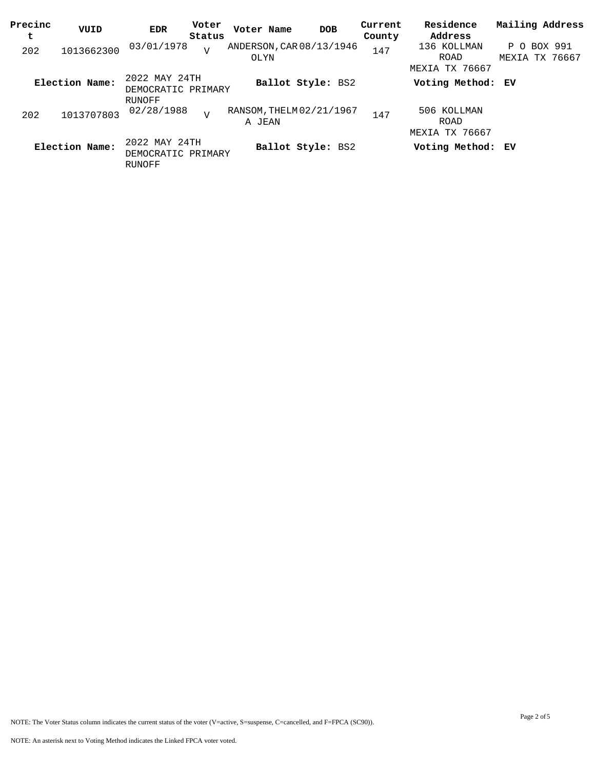| Precinc<br>t | VUID           | <b>EDR</b>                                    | Voter<br>Status | Voter Name                         | <b>DOB</b>        | Current<br>County | Residence<br>Address                  | Mailing Address                  |
|--------------|----------------|-----------------------------------------------|-----------------|------------------------------------|-------------------|-------------------|---------------------------------------|----------------------------------|
| 202          | 1013662300     | 03/01/1978                                    | $\overline{V}$  | ANDERSON, CAR 08/13/1946<br>OLYN   |                   | 147               | 136 KOLLMAN<br>ROAD<br>MEXIA TX 76667 | BOX 991<br>P O<br>MEXIA TX 76667 |
|              | Election Name: | 2022 MAY 24TH<br>DEMOCRATIC PRIMARY           |                 |                                    | Ballot Style: BS2 |                   | Voting Method: EV                     |                                  |
| 202          | 1013707803     | RUNOFF<br>02/28/1988                          | $\overline{V}$  | RANSOM, THELM 02/21/1967<br>A JEAN |                   | 147               | 506 KOLLMAN<br>ROAD<br>MEXIA TX 76667 |                                  |
|              | Election Name: | 2022 MAY 24TH<br>DEMOCRATIC PRIMARY<br>RUNOFF |                 |                                    | Ballot Style: BS2 |                   | Voting Method: EV                     |                                  |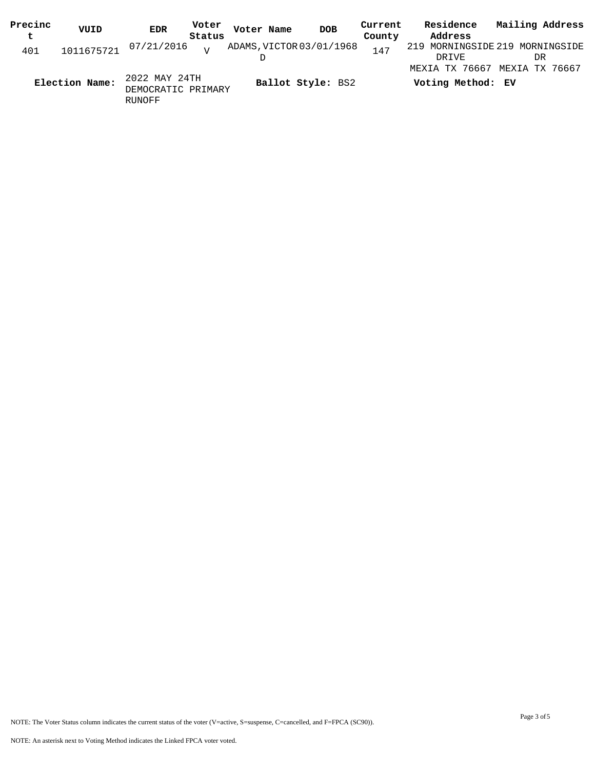| Precinc | VUID           | <b>EDR</b>                                    | Voter           | Voter Name               | <b>DOB</b>        | Current | Residence                                          | Mailing Address |  |
|---------|----------------|-----------------------------------------------|-----------------|--------------------------|-------------------|---------|----------------------------------------------------|-----------------|--|
| t       |                |                                               | Status          |                          |                   | County  | Address                                            |                 |  |
| 401     |                | 1011675721 07/21/2016                         | $\overline{17}$ | ADAMS, VICTOR 03/01/1968 |                   | 147     | 219 MORNINGSIDE 219 MORNINGSIDE<br>DRIVE           | DR              |  |
|         | Election Name: | 2022 MAY 24TH<br>DEMOCRATIC PRIMARY<br>RUNOFF |                 |                          | Ballot Style: BS2 |         | MEXIA TX 76667 MEXIA TX 76667<br>Voting Method: EV |                 |  |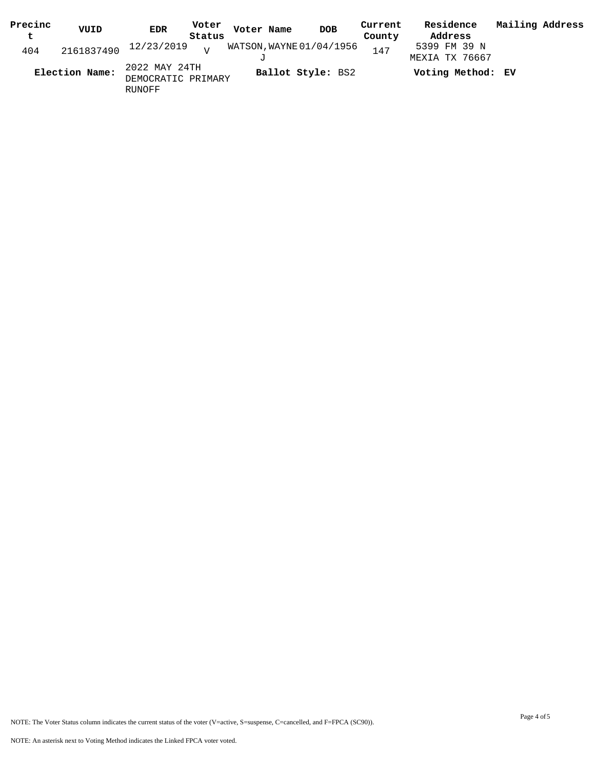| Precinc | VUID           | <b>EDR</b>                                    | Voter  | Voter Name               |                   | <b>DOB</b> | Current | Residence                      | Mailing Address |  |
|---------|----------------|-----------------------------------------------|--------|--------------------------|-------------------|------------|---------|--------------------------------|-----------------|--|
| t       |                |                                               | Status |                          |                   |            | County  | Address                        |                 |  |
| 404     |                | $2161837490$ $12/23/2019$ $V$                 |        | WATSON, WAYNE 01/04/1956 |                   |            | 147     | 5399 FM 39 N<br>MEXIA TX 76667 |                 |  |
|         | Election Name: | 2022 MAY 24TH<br>DEMOCRATIC PRIMARY<br>RUNOFF |        |                          | Ballot Style: BS2 |            |         | Voting Method: EV              |                 |  |